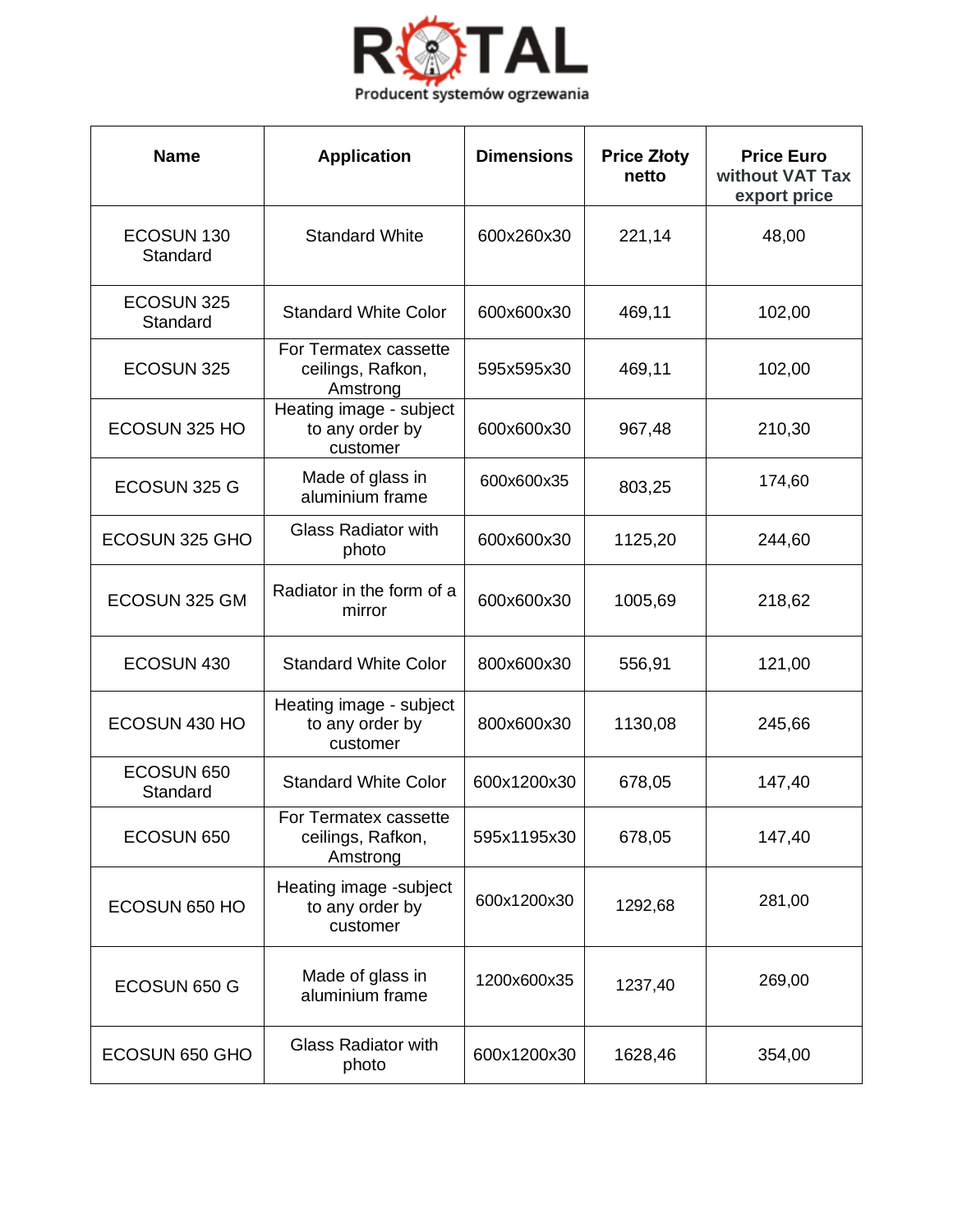

| <b>Name</b>                       | <b>Application</b>                                     | <b>Dimensions</b> | <b>Price Złoty</b><br>netto | <b>Price Euro</b><br>without VAT Tax<br>export price |
|-----------------------------------|--------------------------------------------------------|-------------------|-----------------------------|------------------------------------------------------|
| ECOSUN <sub>130</sub><br>Standard | <b>Standard White</b>                                  | 600x260x30        | 221,14                      | 48,00                                                |
| ECOSUN 325<br>Standard            | <b>Standard White Color</b>                            | 600x600x30        | 469,11                      | 102,00                                               |
| ECOSUN 325                        | For Termatex cassette<br>ceilings, Rafkon,<br>Amstrong | 595x595x30        | 469,11                      | 102,00                                               |
| ECOSUN 325 HO                     | Heating image - subject<br>to any order by<br>customer | 600x600x30        | 967,48                      | 210,30                                               |
| ECOSUN 325 G                      | Made of glass in<br>aluminium frame                    | 600x600x35        | 803,25                      | 174,60                                               |
| ECOSUN 325 GHO                    | <b>Glass Radiator with</b><br>photo                    | 600x600x30        | 1125,20                     | 244,60                                               |
| ECOSUN 325 GM                     | Radiator in the form of a<br>mirror                    | 600x600x30        | 1005,69                     | 218,62                                               |
| ECOSUN 430                        | <b>Standard White Color</b>                            | 800x600x30        | 556,91                      | 121,00                                               |
| ECOSUN 430 HO                     | Heating image - subject<br>to any order by<br>customer | 800x600x30        | 1130,08                     | 245,66                                               |
| ECOSUN 650<br>Standard            | <b>Standard White Color</b>                            | 600x1200x30       | 678,05                      | 147,40                                               |
| ECOSUN 650                        | For Termatex cassette<br>ceilings, Rafkon,<br>Amstrong | 595x1195x30       | 678,05                      | 147,40                                               |
| ECOSUN 650 HO                     | Heating image -subject<br>to any order by<br>customer  | 600x1200x30       | 1292,68                     | 281,00                                               |
| ECOSUN 650 G                      | Made of glass in<br>aluminium frame                    | 1200x600x35       | 1237,40                     | 269,00                                               |
| ECOSUN 650 GHO                    | <b>Glass Radiator with</b><br>photo                    | 600x1200x30       | 1628,46                     | 354,00                                               |